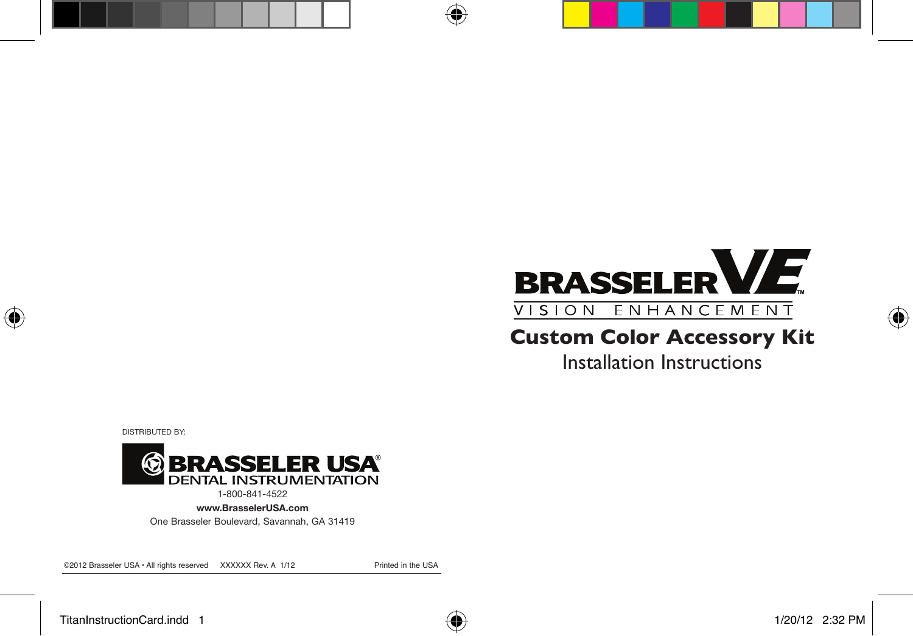# **BRASSELERVE** VISION ENHANCEMENT

## **Custom Color Accessory Kit**

Installation Instructions

DISTRIBUTED BY:



1-800-841-4522

www.BrasselerUSA.com

One Brasseler Boulevard, Savannah, GA 31419

©2012 Brasseler USA • All rights reserved XXXXXX Rev. A 1/12 Printed in the USA